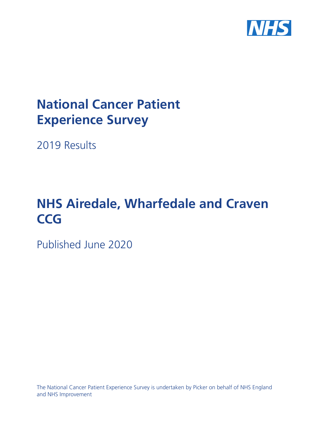

# **National Cancer Patient Experience Survey**

2019 Results

# **NHS Airedale, Wharfedale and Craven CCG**

Published June 2020

The National Cancer Patient Experience Survey is undertaken by Picker on behalf of NHS England and NHS Improvement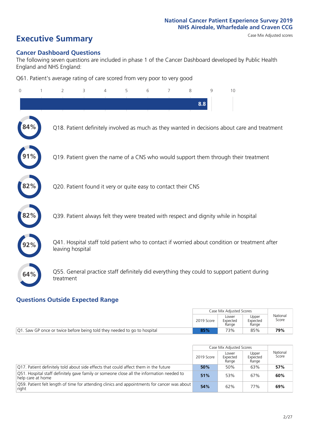# **Executive Summary** Case Mix Adjusted scores

#### **Cancer Dashboard Questions**

The following seven questions are included in phase 1 of the Cancer Dashboard developed by Public Health England and NHS England:

Q61. Patient's average rating of care scored from very poor to very good

| $\Omega$ | $\overline{2}$                                                | 3 | 4 | 5 | 6 | 7 | 8   | 9 | 10                                                                                            |
|----------|---------------------------------------------------------------|---|---|---|---|---|-----|---|-----------------------------------------------------------------------------------------------|
|          |                                                               |   |   |   |   |   | 8.8 |   |                                                                                               |
|          |                                                               |   |   |   |   |   |     |   | Q18. Patient definitely involved as much as they wanted in decisions about care and treatment |
|          |                                                               |   |   |   |   |   |     |   | Q19. Patient given the name of a CNS who would support them through their treatment           |
| 82%      | Q20. Patient found it very or quite easy to contact their CNS |   |   |   |   |   |     |   |                                                                                               |
|          |                                                               |   |   |   |   |   |     |   | Q39. Patient always felt they were treated with respect and dignity while in hospital         |
|          | leaving hospital                                              |   |   |   |   |   |     |   | Q41. Hospital staff told patient who to contact if worried about condition or treatment after |
| 64%      | treatment                                                     |   |   |   |   |   |     |   | Q55. General practice staff definitely did everything they could to support patient during    |

### **Questions Outside Expected Range**

|                                                                                   |            | Case Mix Adiusted Scores   |                            |                   |
|-----------------------------------------------------------------------------------|------------|----------------------------|----------------------------|-------------------|
|                                                                                   | 2019 Score | Lower<br>Expected<br>Range | Upper<br>Expected<br>Range | National<br>Score |
| $\sqrt{Q}$ . Saw GP once or twice before being told they needed to go to hospital | 85%        | 73%                        | 85%                        | 79%               |

|                                                                                                                          |            | Case Mix Adjusted Scores   |                            |                   |
|--------------------------------------------------------------------------------------------------------------------------|------------|----------------------------|----------------------------|-------------------|
|                                                                                                                          | 2019 Score | Lower<br>Expected<br>Range | Upper<br>Expected<br>Range | National<br>Score |
| O17. Patient definitely told about side effects that could affect them in the future                                     | 50%        | 50%                        | 63%                        | 57%               |
| $\sqrt{Q51}$ . Hospital staff definitely gave family or someone close all the information needed to<br>help care at home | 51%        | 53%                        | 67%                        | 60%               |
| Q59. Patient felt length of time for attending clinics and appointments for cancer was about<br>right                    | 54%        | 62%                        | 77%                        | 69%               |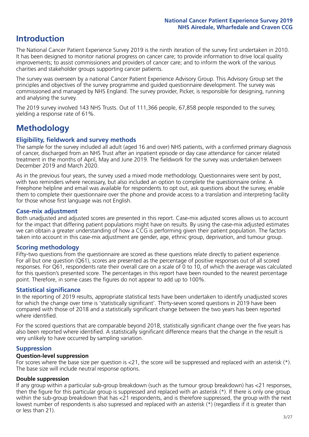# **Introduction**

The National Cancer Patient Experience Survey 2019 is the ninth iteration of the survey first undertaken in 2010. It has been designed to monitor national progress on cancer care; to provide information to drive local quality improvements; to assist commissioners and providers of cancer care; and to inform the work of the various charities and stakeholder groups supporting cancer patients.

The survey was overseen by a national Cancer Patient Experience Advisory Group. This Advisory Group set the principles and objectives of the survey programme and guided questionnaire development. The survey was commissioned and managed by NHS England. The survey provider, Picker, is responsible for designing, running and analysing the survey.

The 2019 survey involved 143 NHS Trusts. Out of 111,366 people, 67,858 people responded to the survey, yielding a response rate of 61%.

# **Methodology**

#### **Eligibility, fieldwork and survey methods**

The sample for the survey included all adult (aged 16 and over) NHS patients, with a confirmed primary diagnosis of cancer, discharged from an NHS Trust after an inpatient episode or day case attendance for cancer related treatment in the months of April, May and June 2019. The fieldwork for the survey was undertaken between December 2019 and March 2020.

As in the previous four years, the survey used a mixed mode methodology. Questionnaires were sent by post, with two reminders where necessary, but also included an option to complete the questionnaire online. A Freephone helpline and email was available for respondents to opt out, ask questions about the survey, enable them to complete their questionnaire over the phone and provide access to a translation and interpreting facility for those whose first language was not English.

#### **Case-mix adjustment**

Both unadjusted and adjusted scores are presented in this report. Case-mix adjusted scores allows us to account for the impact that differing patient populations might have on results. By using the case-mix adjusted estimates we can obtain a greater understanding of how a CCG is performing given their patient population. The factors taken into account in this case-mix adjustment are gender, age, ethnic group, deprivation, and tumour group.

#### **Scoring methodology**

Fifty-two questions from the questionnaire are scored as these questions relate directly to patient experience. For all but one question (Q61), scores are presented as the percentage of positive responses out of all scored responses. For Q61, respondents rate their overall care on a scale of 0 to 10, of which the average was calculated for this question's presented score. The percentages in this report have been rounded to the nearest percentage point. Therefore, in some cases the figures do not appear to add up to 100%.

#### **Statistical significance**

In the reporting of 2019 results, appropriate statistical tests have been undertaken to identify unadjusted scores for which the change over time is 'statistically significant'. Thirty-seven scored questions in 2019 have been compared with those of 2018 and a statistically significant change between the two years has been reported where identified.

For the scored questions that are comparable beyond 2018, statistically significant change over the five years has also been reported where identified. A statistically significant difference means that the change in the result is very unlikely to have occurred by sampling variation.

#### **Suppression**

#### **Question-level suppression**

For scores where the base size per question is  $<$ 21, the score will be suppressed and replaced with an asterisk (\*). The base size will include neutral response options.

#### **Double suppression**

If any group within a particular sub-group breakdown (such as the tumour group breakdown) has <21 responses, then the figure for this particular group is suppressed and replaced with an asterisk (\*). If there is only one group within the sub-group breakdown that has <21 respondents, and is therefore suppressed, the group with the next lowest number of respondents is also supressed and replaced with an asterisk (\*) (regardless if it is greater than or less than 21).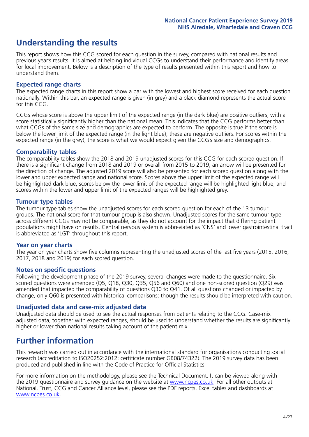# **Understanding the results**

This report shows how this CCG scored for each question in the survey, compared with national results and previous year's results. It is aimed at helping individual CCGs to understand their performance and identify areas for local improvement. Below is a description of the type of results presented within this report and how to understand them.

#### **Expected range charts**

The expected range charts in this report show a bar with the lowest and highest score received for each question nationally. Within this bar, an expected range is given (in grey) and a black diamond represents the actual score for this CCG.

CCGs whose score is above the upper limit of the expected range (in the dark blue) are positive outliers, with a score statistically significantly higher than the national mean. This indicates that the CCG performs better than what CCGs of the same size and demographics are expected to perform. The opposite is true if the score is below the lower limit of the expected range (in the light blue); these are negative outliers. For scores within the expected range (in the grey), the score is what we would expect given the CCG's size and demographics.

#### **Comparability tables**

The comparability tables show the 2018 and 2019 unadjusted scores for this CCG for each scored question. If there is a significant change from 2018 and 2019 or overall from 2015 to 2019, an arrow will be presented for the direction of change. The adjusted 2019 score will also be presented for each scored question along with the lower and upper expected range and national score. Scores above the upper limit of the expected range will be highlighted dark blue, scores below the lower limit of the expected range will be highlighted light blue, and scores within the lower and upper limit of the expected ranges will be highlighted grey.

#### **Tumour type tables**

The tumour type tables show the unadjusted scores for each scored question for each of the 13 tumour groups. The national score for that tumour group is also shown. Unadjusted scores for the same tumour type across different CCGs may not be comparable, as they do not account for the impact that differing patient populations might have on results. Central nervous system is abbreviated as 'CNS' and lower gastrointestinal tract is abbreviated as 'LGT' throughout this report.

#### **Year on year charts**

The year on year charts show five columns representing the unadjusted scores of the last five years (2015, 2016, 2017, 2018 and 2019) for each scored question.

#### **Notes on specific questions**

Following the development phase of the 2019 survey, several changes were made to the questionnaire. Six scored questions were amended (Q5, Q18, Q30, Q35, Q56 and Q60) and one non-scored question (Q29) was amended that impacted the comparability of questions Q30 to Q41. Of all questions changed or impacted by change, only Q60 is presented with historical comparisons; though the results should be interpreted with caution.

#### **Unadjusted data and case-mix adjusted data**

Unadjusted data should be used to see the actual responses from patients relating to the CCG. Case-mix adjusted data, together with expected ranges, should be used to understand whether the results are significantly higher or lower than national results taking account of the patient mix.

### **Further information**

This research was carried out in accordance with the international standard for organisations conducting social research (accreditation to ISO20252:2012; certificate number GB08/74322). The 2019 survey data has been produced and published in line with the Code of Practice for Official Statistics.

For more information on the methodology, please see the Technical Document. It can be viewed along with the 2019 questionnaire and survey quidance on the website at [www.ncpes.co.uk](https://www.ncpes.co.uk/supporting-documents). For all other outputs at National, Trust, CCG and Cancer Alliance level, please see the PDF reports, Excel tables and dashboards at [www.ncpes.co.uk.](https://www.ncpes.co.uk/current-results)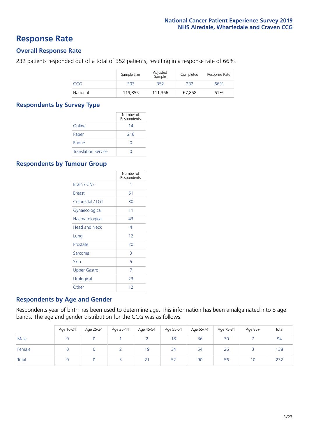### **Response Rate**

#### **Overall Response Rate**

232 patients responded out of a total of 352 patients, resulting in a response rate of 66%.

|          | Sample Size | Adjusted<br>Sample | Completed | Response Rate |
|----------|-------------|--------------------|-----------|---------------|
| CCG      | 393         | 352                | 232       | 66%           |
| National | 119,855     | 111.366            | 67,858    | 61%           |

#### **Respondents by Survey Type**

|                            | Number of<br>Respondents |
|----------------------------|--------------------------|
| Online                     | 14                       |
| Paper                      | 218                      |
| Phone                      | $\left( \right)$         |
| <b>Translation Service</b> |                          |

#### **Respondents by Tumour Group**

|                      | Number of<br>Respondents |
|----------------------|--------------------------|
| <b>Brain / CNS</b>   | 1                        |
| <b>Breast</b>        | 61                       |
| Colorectal / LGT     | 30                       |
| Gynaecological       | 11                       |
| Haematological       | 43                       |
| <b>Head and Neck</b> | 4                        |
| Lung                 | 12                       |
| Prostate             | 20                       |
| Sarcoma              | 3                        |
| Skin                 | 5                        |
| Upper Gastro         | 7                        |
| Urological           | 23                       |
| Other                | 12                       |

#### **Respondents by Age and Gender**

Respondents year of birth has been used to determine age. This information has been amalgamated into 8 age bands. The age and gender distribution for the CCG was as follows:

|        | Age 16-24 | Age 25-34 | Age 35-44 | Age 45-54 | Age 55-64 | Age 65-74 | Age 75-84 | Age 85+ | Total |
|--------|-----------|-----------|-----------|-----------|-----------|-----------|-----------|---------|-------|
| Male   |           |           |           |           | 18        | 36        | 30        |         | 94    |
| Female |           |           |           | 19        | 34        | 54        | 26        |         | 138   |
| Total  |           |           |           | 21        | 52        | 90        | 56        | 10      | 232   |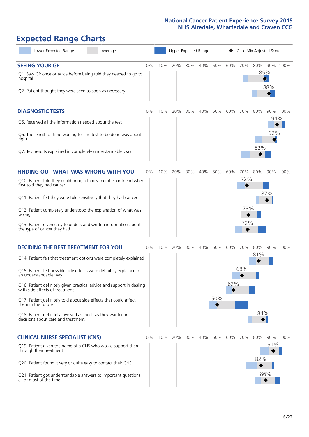# **Expected Range Charts**

| Lower Expected Range                                                                                                                                                                                                                                                                                                                                                                                                                                                                                                        | Average |       |     | Upper Expected Range |     |     |            |            |                          | Case Mix Adjusted Score |            |          |
|-----------------------------------------------------------------------------------------------------------------------------------------------------------------------------------------------------------------------------------------------------------------------------------------------------------------------------------------------------------------------------------------------------------------------------------------------------------------------------------------------------------------------------|---------|-------|-----|----------------------|-----|-----|------------|------------|--------------------------|-------------------------|------------|----------|
| <b>SEEING YOUR GP</b><br>Q1. Saw GP once or twice before being told they needed to go to<br>hospital<br>Q2. Patient thought they were seen as soon as necessary                                                                                                                                                                                                                                                                                                                                                             |         | $0\%$ | 10% | 20%                  | 30% | 40% | 50%        | 60%        | 70%                      | 80%<br>85%              | 88%        | 90% 100% |
| <b>DIAGNOSTIC TESTS</b><br>Q5. Received all the information needed about the test<br>Q6. The length of time waiting for the test to be done was about<br>right<br>Q7. Test results explained in completely understandable way                                                                                                                                                                                                                                                                                               |         | 0%    | 10% | 20%                  | 30% | 40% | 50%        | 60%        | 70%                      | 80%<br>82%              | 94%<br>92% | 90% 100% |
| <b>FINDING OUT WHAT WAS WRONG WITH YOU</b><br>Q10. Patient told they could bring a family member or friend when<br>first told they had cancer<br>Q11. Patient felt they were told sensitively that they had cancer<br>Q12. Patient completely understood the explanation of what was<br>wrong<br>Q13. Patient given easy to understand written information about<br>the type of cancer they had                                                                                                                             |         | 0%    | 10% | 20%                  | 30% | 40% | 50%        | 60%        | 70%<br>72%<br>73%<br>72% | 80%                     | 87%        | 90% 100% |
| <b>DECIDING THE BEST TREATMENT FOR YOU</b><br>Q14. Patient felt that treatment options were completely explained<br>Q15. Patient felt possible side effects were definitely explained in<br>an understandable way<br>Q16. Patient definitely given practical advice and support in dealing<br>with side effects of treatment<br>Q17. Patient definitely told about side effects that could affect<br>them in the future<br>Q18. Patient definitely involved as much as they wanted in<br>decisions about care and treatment |         | $0\%$ | 10% | 20%                  | 30% | 40% | 50%<br>50% | 60%<br>62% | 70%<br>68%               | 80%<br>81%<br>84%       |            | 90% 100% |
| <b>CLINICAL NURSE SPECIALIST (CNS)</b><br>Q19. Patient given the name of a CNS who would support them<br>through their treatment<br>Q20. Patient found it very or quite easy to contact their CNS<br>Q21. Patient got understandable answers to important questions<br>all or most of the time                                                                                                                                                                                                                              |         | $0\%$ | 10% | 20%                  | 30% | 40% | 50%        | 60%        | 70%                      | 80%<br>82%              | 91%<br>86% | 90% 100% |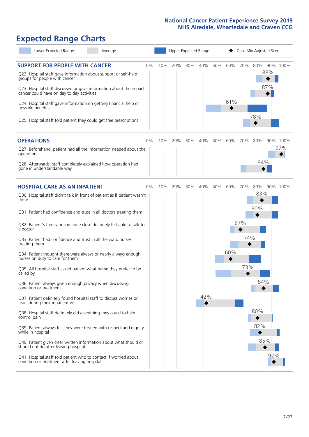# **Expected Range Charts**

| Lower Expected Range                                                                                                                                                                                            | Average |    |     |     |     | Upper Expected Range |     |     |     | Case Mix Adjusted Score |            |          |
|-----------------------------------------------------------------------------------------------------------------------------------------------------------------------------------------------------------------|---------|----|-----|-----|-----|----------------------|-----|-----|-----|-------------------------|------------|----------|
| <b>SUPPORT FOR PEOPLE WITH CANCER</b><br>Q22. Hospital staff gave information about support or self-help<br>groups for people with cancer<br>Q23. Hospital staff discussed or gave information about the impact |         | 0% | 10% | 20% | 30% | 40%                  | 50% | 60% | 70% | 80%                     | 88%<br>87% | 90% 100% |
| cancer could have on day to day activities<br>Q24. Hospital staff gave information on getting financial help or<br>possible benefits                                                                            |         |    |     |     |     |                      |     | 61% |     | 78%                     |            |          |
| Q25. Hospital staff told patient they could get free prescriptions                                                                                                                                              |         |    |     |     |     |                      |     |     |     |                         |            |          |
| <b>OPERATIONS</b>                                                                                                                                                                                               |         | 0% | 10% | 20% | 30% | 40%                  | 50% | 60% | 70% | 80%                     |            | 90% 100% |
| Q27. Beforehand, patient had all the information needed about the<br>operation                                                                                                                                  |         |    |     |     |     |                      |     |     |     |                         |            | 97%      |
| Q28. Afterwards, staff completely explained how operation had<br>gone in understandable way                                                                                                                     |         |    |     |     |     |                      |     |     |     | 84%                     |            |          |
|                                                                                                                                                                                                                 |         |    |     |     |     |                      |     |     |     |                         |            |          |
| <b>HOSPITAL CARE AS AN INPATIENT</b><br>Q30. Hospital staff didn't talk in front of patient as if patient wasn't<br>there                                                                                       |         | 0% | 10% | 20% | 30% | 40%                  | 50% | 60% | 70% | 80%<br>83%              |            | 90% 100% |
| Q31. Patient had confidence and trust in all doctors treating them                                                                                                                                              |         |    |     |     |     |                      |     |     |     | 80%                     |            |          |
| Q32. Patient's family or someone close definitely felt able to talk to<br>a doctor                                                                                                                              |         |    |     |     |     |                      |     |     | 67% |                         |            |          |
| Q33. Patient had confidence and trust in all the ward nurses<br>treating them                                                                                                                                   |         |    |     |     |     |                      |     |     | 74% |                         |            |          |
| Q34. Patient thought there were always or nearly always enough<br>nurses on duty to care for them                                                                                                               |         |    |     |     |     |                      |     | 60% |     |                         |            |          |
| Q35. All hospital staff asked patient what name they prefer to be<br>called by                                                                                                                                  |         |    |     |     |     |                      |     |     | 73% |                         |            |          |
| Q36. Patient always given enough privacy when discussing<br>condition or treatment                                                                                                                              |         |    |     |     |     |                      |     |     |     | 84%                     |            |          |
| Q37. Patient definitely found hospital staff to discuss worries or<br>fears during their inpatient visit                                                                                                        |         |    |     |     |     | 42%                  |     |     |     |                         |            |          |
| Q38. Hospital staff definitely did everything they could to help<br>control pain                                                                                                                                |         |    |     |     |     |                      |     |     |     | 80%                     |            |          |
| Q39. Patient always felt they were treated with respect and dignity<br>while in hospital                                                                                                                        |         |    |     |     |     |                      |     |     |     | 82%                     |            |          |
| Q40. Patient given clear written information about what should or<br>should not do after leaving hospital                                                                                                       |         |    |     |     |     |                      |     |     |     | 85%                     |            |          |
| Q41. Hospital staff told patient who to contact if worried about<br>condition or treatment after leaving hospital                                                                                               |         |    |     |     |     |                      |     |     |     |                         | 92%        |          |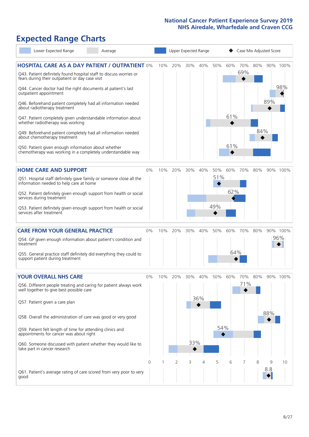# **Expected Range Charts**

| Lower Expected Range<br>Average                                                                                                                                                                                                                                                                                                                                                                                                                                                                                                                                                                                                                                                                        |       |     | Upper Expected Range |            |            |                   |                   | Case Mix Adjusted Score |            |          |                 |
|--------------------------------------------------------------------------------------------------------------------------------------------------------------------------------------------------------------------------------------------------------------------------------------------------------------------------------------------------------------------------------------------------------------------------------------------------------------------------------------------------------------------------------------------------------------------------------------------------------------------------------------------------------------------------------------------------------|-------|-----|----------------------|------------|------------|-------------------|-------------------|-------------------------|------------|----------|-----------------|
| <b>HOSPITAL CARE AS A DAY PATIENT / OUTPATIENT 0%</b><br>Q43. Patient definitely found hospital staff to discuss worries or<br>fears during their outpatient or day case visit<br>Q44. Cancer doctor had the right documents at patient's last<br>outpatient appointment<br>Q46. Beforehand patient completely had all information needed<br>about radiotherapy treatment<br>Q47. Patient completely given understandable information about<br>whether radiotherapy was working<br>Q49. Beforehand patient completely had all information needed<br>about chemotherapy treatment<br>Q50. Patient given enough information about whether<br>chemotherapy was working in a completely understandable way |       | 10% | 20%                  | 30%        | 40%        | 50%               | 60%<br>61%<br>61% | 70%<br>69%              | 80%<br>84% | 89%      | 90% 100%<br>98% |
| <b>HOME CARE AND SUPPORT</b><br>Q51. Hospital staff definitely gave family or someone close all the<br>information needed to help care at home<br>Q52. Patient definitely given enough support from health or social<br>services during treatment<br>Q53. Patient definitely given enough support from health or social<br>services after treatment                                                                                                                                                                                                                                                                                                                                                    | 0%    | 10% | 20%                  | 30%        | 40%        | 50%<br>51%<br>49% | 60%<br>62%        | 70%                     | 80%        |          | 90% 100%        |
| <b>CARE FROM YOUR GENERAL PRACTICE</b><br>Q54. GP given enough information about patient's condition and<br>treatment<br>Q55. General practice staff definitely did everything they could to<br>support patient during treatment                                                                                                                                                                                                                                                                                                                                                                                                                                                                       | $0\%$ | 10% | 20%                  | 30%        | 40%        | 50%               | 60%<br>64%        | 70%                     | 80%        |          | 90% 100%<br>96% |
| <b>YOUR OVERALL NHS CARE</b><br>Q56. Different people treating and caring for patient always work<br>well together to give best possible care<br>Q57. Patient given a care plan<br>Q58. Overall the administration of care was good or very good<br>Q59. Patient felt length of time for attending clinics and<br>appointments for cancer was about right<br>Q60. Someone discussed with patient whether they would like to<br>take part in cancer research                                                                                                                                                                                                                                            | $0\%$ | 10% | 20%                  | 30%<br>33% | 40%<br>36% | 50%<br>54%        | 60%               | 70%<br>71%              | 80%        | 88%      | 90% 100%        |
| Q61. Patient's average rating of care scored from very poor to very<br>good                                                                                                                                                                                                                                                                                                                                                                                                                                                                                                                                                                                                                            | 0     |     | 2                    | 3          | 4          | 5                 | 6                 |                         | 8          | 9<br>8.8 | 10              |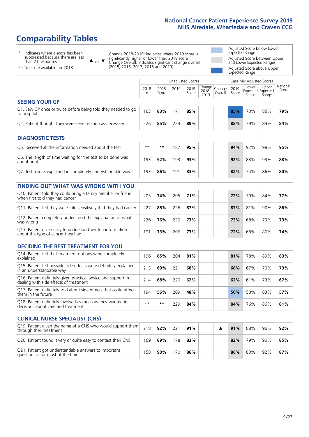# **Comparability Tables**

\* Indicates where a score has been suppressed because there are less than 21 responses.

\*\* No score available for 2018.

 $\triangle$  or  $\nabla$ 

Change 2018-2019: Indicates where 2019 score is significantly higher or lower than 2018 score Change Overall: Indicates significant change overall (2015, 2016, 2017, 2018 and 2019).

Adjusted Score below Lower Expected Range Adjusted Score between Upper and Lower Expected Ranges Adjusted Score above Upper Expected Range

|                                                                             |           |               | Unadjusted Scores |               |                                             |         |               | Case Mix Adjusted Scores |                                     |                   |
|-----------------------------------------------------------------------------|-----------|---------------|-------------------|---------------|---------------------------------------------|---------|---------------|--------------------------|-------------------------------------|-------------------|
|                                                                             | 2018<br>n | 2018<br>Score | 2019<br>n         | 2019<br>Score | $\sim$   Change   Change  <br>2018-<br>2019 | Overall | 2019<br>Score | Lower<br>Range           | Upper<br>Expected Expected<br>Range | National<br>Score |
| <b>SEEING YOUR GP</b>                                                       |           |               |                   |               |                                             |         |               |                          |                                     |                   |
| Q1. Saw GP once or twice before being told they needed to go<br>to hospital | 163       | 83%           | 171               | 85%           |                                             |         | 85%           | 73%                      | 85%                                 | 79%               |
| Q2. Patient thought they were seen as soon as necessary                     | 226       | 85%           | 224               | 89%           |                                             |         | 88%           | 79%                      | 89%                                 | 84%               |
| <b>DIAGNOSTIC TESTS</b>                                                     |           |               |                   |               |                                             |         |               |                          |                                     |                   |

| <b>PIASIVOSTIC ILSTS</b>                                                  |      |     |     |     |  |     |     |     |     |
|---------------------------------------------------------------------------|------|-----|-----|-----|--|-----|-----|-----|-----|
| Q5. Received all the information needed about the test                    | $**$ | **  | 187 | 95% |  | 94% | 92% | 98% | 95% |
| Q6. The length of time waiting for the test to be done was<br>about right | 193  | 92% | 193 | 93% |  | 92% | 83% | 93% | 88% |
| Q7. Test results explained in completely understandable way               | 193  | 86% | 191 | 83% |  | 82% | 74% | 86% | 80% |

| <b>FINDING OUT WHAT WAS WRONG WITH YOU</b>                                                      |     |     |     |     |     |     |     |     |
|-------------------------------------------------------------------------------------------------|-----|-----|-----|-----|-----|-----|-----|-----|
| Q10. Patient told they could bring a family member or friend<br>when first told they had cancer | 205 | 74% | 205 | 71% | 72% | 70% | 84% | 77% |
| Q11. Patient felt they were told sensitively that they had cancer                               | 227 | 85% | 226 | 87% | 87% | 81% | 90% | 86% |
| Q12. Patient completely understood the explanation of what<br>was wrong                         | 226 | 76% | 230 | 73% | 73% | 68% | 79% | 73% |
| Q13. Patient given easy to understand written information<br>about the type of cancer they had  | 191 | 73% | 206 | 73% | 72% | 68% | 80% | 74% |

| <b>DECIDING THE BEST TREATMENT FOR YOU</b>                                                              |      |     |     |     |     |     |     |     |
|---------------------------------------------------------------------------------------------------------|------|-----|-----|-----|-----|-----|-----|-----|
| Q14. Patient felt that treatment options were completely<br>explained                                   | 196  | 85% | 204 | 81% | 81% | 78% | 89% | 83% |
| Q15. Patient felt possible side effects were definitely explained<br>in an understandable way           | 213  | 69% | 221 | 68% | 68% | 67% | 79% | 73% |
| Q16. Patient definitely given practical advice and support in<br>dealing with side effects of treatment | 214  | 68% | 220 | 62% | 62% | 61% | 73% | 67% |
| Q17. Patient definitely told about side effects that could affect<br>them in the future                 | 194  | 56% | 209 | 48% | 50% | 50% | 63% | 57% |
| Q18. Patient definitely involved as much as they wanted in<br>decisions about care and treatment        | $**$ | **  | 229 | 84% | 84% | 76% | 86% | 81% |

| <b>CLINICAL NURSE SPECIALIST (CNS)</b>                                                    |     |     |     |     |  |     |     |     |     |
|-------------------------------------------------------------------------------------------|-----|-----|-----|-----|--|-----|-----|-----|-----|
| Q19. Patient given the name of a CNS who would support them<br>through their treatment    | 218 | 92% | 221 | 91% |  | 91% | 88% | 96% | 92% |
| Q20. Patient found it very or quite easy to contact their CNS                             | 169 | 89% | 178 | 83% |  | 82% | 79% | 90% | 85% |
| Q21. Patient got understandable answers to important<br>questions all or most of the time | 158 | 90% | 170 | 86% |  | 86% | 83% | 92% | 87% |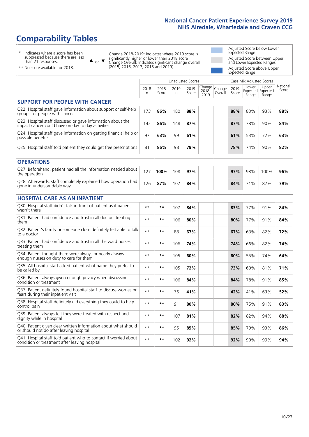# **Comparability Tables**

\* Indicates where a score has been suppressed because there are less than 21 responses.

\*\* No score available for 2018.

 $\triangle$  or  $\nabla$ 

Change 2018-2019: Indicates where 2019 score is significantly higher or lower than 2018 score Change Overall: Indicates significant change overall (2015, 2016, 2017, 2018 and 2019).

Adjusted Score below Lower Expected Range Adjusted Score between Upper and Lower Expected Ranges Adjusted Score above Upper Expected Range

|                                                                                                                   |              |               |           | Unadjusted Scores |                         |                   |               | Case Mix Adjusted Scores |                                     |                   |
|-------------------------------------------------------------------------------------------------------------------|--------------|---------------|-----------|-------------------|-------------------------|-------------------|---------------|--------------------------|-------------------------------------|-------------------|
|                                                                                                                   | 2018<br>n    | 2018<br>Score | 2019<br>n | 2019<br>Score     | Change<br>2018-<br>2019 | Change<br>Overall | 2019<br>Score | Lower<br>Range           | Upper<br>Expected Expected<br>Range | National<br>Score |
| <b>SUPPORT FOR PEOPLE WITH CANCER</b>                                                                             |              |               |           |                   |                         |                   |               |                          |                                     |                   |
| Q22. Hospital staff gave information about support or self-help<br>groups for people with cancer                  | 173          | 86%           | 180       | 88%               |                         |                   | 88%           | 83%                      | 93%                                 | 88%               |
| Q23. Hospital staff discussed or gave information about the<br>impact cancer could have on day to day activities  | 142          | 86%           | 148       | 87%               |                         |                   | 87%           | 78%                      | 90%                                 | 84%               |
| Q24. Hospital staff gave information on getting financial help or<br>possible benefits                            | 97           | 63%           | 99        | 61%               |                         |                   | 61%           | 53%                      | 72%                                 | 63%               |
| Q25. Hospital staff told patient they could get free prescriptions                                                | 81           | 86%           | 98        | 79%               |                         |                   | 78%           | 74%                      | 90%                                 | 82%               |
| <b>OPERATIONS</b>                                                                                                 |              |               |           |                   |                         |                   |               |                          |                                     |                   |
| Q27. Beforehand, patient had all the information needed about<br>the operation                                    | 127          | 100%          | 108       | 97%               |                         |                   | 97%           | 93%                      | 100%                                | 96%               |
| Q28. Afterwards, staff completely explained how operation had<br>gone in understandable way                       | 126          | 87%           | 107       | 84%               |                         |                   | 84%           | 71%                      | 87%                                 | 79%               |
| <b>HOSPITAL CARE AS AN INPATIENT</b>                                                                              |              |               |           |                   |                         |                   |               |                          |                                     |                   |
| Q30. Hospital staff didn't talk in front of patient as if patient<br>wasn't there                                 | $**$         | $***$         | 107       | 84%               |                         |                   | 83%           | 77%                      | 91%                                 | 84%               |
| Q31. Patient had confidence and trust in all doctors treating<br>them                                             | $**$         | **            | 106       | 80%               |                         |                   | 80%           | 77%                      | 91%                                 | 84%               |
| Q32. Patient's family or someone close definitely felt able to talk<br>to a doctor                                | $* *$        | **            | 88        | 67%               |                         |                   | 67%           | 63%                      | 82%                                 | 72%               |
| O33. Patient had confidence and trust in all the ward nurses<br>treating them                                     | $**$         | **            | 106       | 74%               |                         |                   | 74%           | 66%                      | 82%                                 | 74%               |
| Q34. Patient thought there were always or nearly always<br>enough nurses on duty to care for them                 | $**$         | $***$         | 105       | 60%               |                         |                   | 60%           | 55%                      | 74%                                 | 64%               |
| Q35. All hospital staff asked patient what name they prefer to<br>be called by                                    | $* *$        | **            | 105       | 72%               |                         |                   | 73%           | 60%                      | 81%                                 | 71%               |
| Q36. Patient always given enough privacy when discussing<br>condition or treatment                                | $* *$        | $***$         | 106       | 84%               |                         |                   | 84%           | 78%                      | 91%                                 | 85%               |
| Q37. Patient definitely found hospital staff to discuss worries or<br>fears during their inpatient visit          | $* *$        | **            | 76        | 41%               |                         |                   | 42%           | 41%                      | 63%                                 | 52%               |
| Q38. Hospital staff definitely did everything they could to help<br>control pain                                  | $* *$        | **            | 91        | 80%               |                         |                   | 80%           | 75%                      | 91%                                 | 83%               |
| Q39. Patient always felt they were treated with respect and<br>dignity while in hospital                          | $\star\star$ | **            | 107       | 81%               |                         |                   | 82%           | 82%                      | 94%                                 | 88%               |
| Q40. Patient given clear written information about what should<br>or should not do after leaving hospital         | $**$         | **            | 95        | 85%               |                         |                   | 85%           | 79%                      | 93%                                 | 86%               |
| Q41. Hospital staff told patient who to contact if worried about<br>condition or treatment after leaving hospital | $* *$        | **            | 102       | 92%               |                         |                   | 92%           | 90%                      | 99%                                 | 94%               |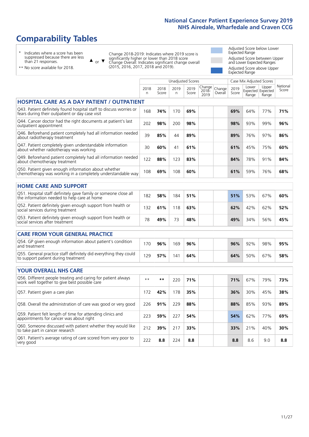# **Comparability Tables**

\* Indicates where a score has been suppressed because there are less than 21 responses.

\*\* No score available for 2018.

 $\triangle$  or  $\nabla$ 

Change 2018-2019: Indicates where 2019 score is significantly higher or lower than 2018 score Change Overall: Indicates significant change overall (2015, 2016, 2017, 2018 and 2019).

Adjusted Score below Lower Expected Range Adjusted Score between Upper and Lower Expected Ranges Adjusted Score above Upper Expected Range

|                                                                                                                       |            |               | <b>Unadjusted Scores</b> |               |                         |                   |               | Case Mix Adjusted Scores |                                     |                   |
|-----------------------------------------------------------------------------------------------------------------------|------------|---------------|--------------------------|---------------|-------------------------|-------------------|---------------|--------------------------|-------------------------------------|-------------------|
|                                                                                                                       | 2018<br>n. | 2018<br>Score | 2019<br>n                | 2019<br>Score | Change<br>2018-<br>2019 | Change<br>Overall | 2019<br>Score | Lower<br>Range           | Upper<br>Expected Expected<br>Range | National<br>Score |
| <b>HOSPITAL CARE AS A DAY PATIENT / OUTPATIENT</b>                                                                    |            |               |                          |               |                         |                   |               |                          |                                     |                   |
| Q43. Patient definitely found hospital staff to discuss worries or<br>fears during their outpatient or day case visit | 168        | 74%           | 170                      | 69%           |                         |                   | 69%           | 64%                      | 77%                                 | 71%               |
| Q44. Cancer doctor had the right documents at patient's last<br>outpatient appointment                                | 202        | 98%           | 200                      | 98%           |                         |                   | 98%           | 93%                      | 99%                                 | 96%               |
| Q46. Beforehand patient completely had all information needed<br>about radiotherapy treatment                         | 39         | 85%           | 44                       | 89%           |                         |                   | 89%           | 76%                      | 97%                                 | 86%               |
| Q47. Patient completely given understandable information<br>about whether radiotherapy was working                    | 30         | 60%           | 41                       | 61%           |                         |                   | 61%           | 45%                      | 75%                                 | 60%               |
| Q49. Beforehand patient completely had all information needed<br>about chemotherapy treatment                         | 122        | 88%           | 123                      | 83%           |                         |                   | 84%           | 78%                      | 91%                                 | 84%               |
| Q50. Patient given enough information about whether<br>chemotherapy was working in a completely understandable way    | 108        | 69%           | 108                      | 60%           |                         |                   | 61%           | 59%                      | 76%                                 | 68%               |
| <b>HOME CARE AND SUPPORT</b>                                                                                          |            |               |                          |               |                         |                   |               |                          |                                     |                   |
| Q51. Hospital staff definitely gave family or someone close all<br>the information needed to help care at home        | 182        | 58%           | 184                      | 51%           |                         |                   | 51%           | 53%                      | 67%                                 | 60%               |
| Q52. Patient definitely given enough support from health or<br>social services during treatment                       | 132        | 61%           | 118                      | 63%           |                         |                   | 62%           | 42%                      | 62%                                 | 52%               |
| Q53. Patient definitely given enough support from health or<br>social services after treatment                        | 78         | 49%           | 73                       | 48%           |                         |                   | 49%           | 34%                      | 56%                                 | 45%               |
| CARE FROM YOUR GENERAL PRACTICE                                                                                       |            |               |                          |               |                         |                   |               |                          |                                     |                   |
| Q54. GP given enough information about patient's condition<br>and treatment                                           | 170        | 96%           | 169                      | 96%           |                         |                   | 96%           | 92%                      | 98%                                 | 95%               |
| Q55. General practice staff definitely did everything they could<br>to support patient during treatment               | 129        | 57%           | 141                      | 64%           |                         |                   | 64%           | 50%                      | 67%                                 | 58%               |
| <b>YOUR OVERALL NHS CARE</b>                                                                                          |            |               |                          |               |                         |                   |               |                          |                                     |                   |
| Q56. Different people treating and caring for patient always                                                          |            |               |                          |               |                         |                   |               |                          |                                     |                   |
| work well together to give best possible care                                                                         | $* *$      | $***$         | 220                      | 71%           |                         |                   | 71%           | 67%                      | 79%                                 | 73%               |
| Q57. Patient given a care plan                                                                                        | 172        | 42%           | 178                      | 35%           |                         |                   | 36%           | 30%                      | 45%                                 | 38%               |
| Q58. Overall the administration of care was good or very good                                                         | 226        | 91%           | 229                      | 88%           |                         |                   | 88%           | 85%                      | 93%                                 | 89%               |
| Q59. Patient felt length of time for attending clinics and<br>appointments for cancer was about right                 | 223        | 59%           | 227                      | 54%           |                         |                   | 54%           | 62%                      | 77%                                 | 69%               |
| Q60. Someone discussed with patient whether they would like<br>to take part in cancer research                        | 212        | 39%           | 217                      | 33%           |                         |                   | 33%           | 21%                      | 40%                                 | 30%               |
| Q61. Patient's average rating of care scored from very poor to<br>very good                                           | 222        | 8.8           | 224                      | 8.8           |                         |                   | 8.8           | 8.6                      | 9.0                                 | 8.8               |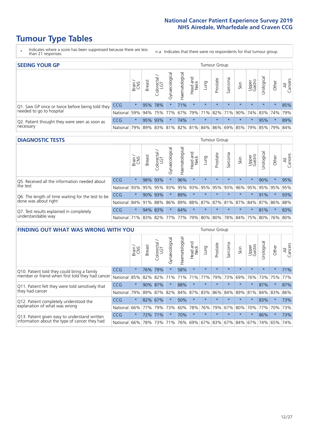# **Tumour Type Tables**

- \* Indicates where a score has been suppressed because there are less than 21 responses.
- n.a. Indicates that there were no respondents for that tumour group.

| <b>SEEING YOUR GP</b>                           |                          |              |               |                   |                   |                |                  |                                         | Tumour Group |         |         |                 |                     |         |                |
|-------------------------------------------------|--------------------------|--------------|---------------|-------------------|-------------------|----------------|------------------|-----------------------------------------|--------------|---------|---------|-----------------|---------------------|---------|----------------|
|                                                 |                          | Brain<br>CNS | <b>Breast</b> | Colorectal<br>LGT | ত<br>Gynaecologic | Haematological | Head and<br>Neck | Dung                                    | Prostate     | Sarcoma | Skin    | Upper<br>Gastro | Urological          | Other   | All<br>Cancers |
| Q1. Saw GP once or twice before being told they | <b>CCG</b>               | $\star$      |               | 95% 78%           |                   | 71%            | $\star$          | $\star$                                 | $\star$      | $\star$ | $\star$ | $\star$         | $\star$             | $\star$ | 85%            |
| needed to go to hospital                        | National 59% 94% 75% 77% |              |               |                   |                   |                |                  | 67% 79% 71% 82%                         |              |         |         |                 | 71% 90% 74% 83% 74% |         | 79%            |
| Q2. Patient thought they were seen as soon as   | <b>CCG</b>               | $\star$      |               | 95% 93%           |                   | 74%            | $\star$          | $\star$                                 | $\star$      | $\star$ | $\star$ | $\star$         | 95%                 | $\star$ | 89%            |
| necessary                                       | National                 | 79%          |               |                   |                   |                |                  | 89% 83% 81% 82% 81% 84% 86% 69% 85% 79% |              |         |         |                 | 85% 79%             |         | 84%            |

#### **DIAGNOSTIC TESTS** Tumour Group

|                                                   |              | Brain<br>CNS | <b>Breast</b> | Colorectal<br>LGT           | ᠊ᢛ<br>Gynaecologic | Haematological | Head and<br>Neck | Lung        | Prostate | Sarcoma | Skin    | Upper<br>Gastro | rological                                   | Other   | All<br>Cancers |
|---------------------------------------------------|--------------|--------------|---------------|-----------------------------|--------------------|----------------|------------------|-------------|----------|---------|---------|-----------------|---------------------------------------------|---------|----------------|
| Q5. Received all the information needed about     | CCG          | $\star$      |               | 98% 93%                     |                    | 96%            | $\star$          | $\star$     | $\star$  | $\star$ | $\star$ | $\star$         | 90%                                         | $\star$ | 95%            |
| the test                                          | National     | 93%          | 95%           | 95%                         | 93%                | 95%            |                  | 93% 95% 95% |          | 93%     | 96%     |                 | 95% 95%                                     | 95%     | 95%            |
| Q6. The length of time waiting for the test to be | <b>CCG</b>   | $\star$      | 90%           | 93%                         | $\star$            | 89%            | $\star$          | $\star$     | $\star$  | $\star$ | $\star$ | $\star$         | 91%                                         | $\star$ | 93%            |
| done was about right                              | National     |              |               | 84% 91% 88%                 |                    |                |                  |             |          |         |         |                 | 86% 89% 88% 87% 87% 81% 87% 84% 87% 86% 88% |         |                |
| Q7. Test results explained in completely          | CCG          | $\star$      |               | 94% 83%                     | $\star$            | 64%            | $\star$          | $\star$     | $\star$  | $\star$ | $\star$ | $\star$         | 81%                                         | $\star$ | 83%            |
| understandable way                                | National 71% |              |               | 83% 82% 77% 77% 79% 80% 80% |                    |                |                  |             |          |         |         |                 | 78% 84% 75% 80% 76% 80%                     |         |                |

| <b>FINDING OUT WHAT WAS WRONG WITH YOU</b>        |          |         |               |                       |                |                   |                         |         | <b>Tumour Group</b> |         |         |                 |           |         |                |
|---------------------------------------------------|----------|---------|---------------|-----------------------|----------------|-------------------|-------------------------|---------|---------------------|---------|---------|-----------------|-----------|---------|----------------|
|                                                   |          | Brain   | <b>Breast</b> | olorectal<br>LGT<br>Û | Gynaecological | aematologica<br>ェ | ead and<br>Neck<br>Head | Lung    | Prostate            | Sarcoma | Skin    | Upper<br>Gastro | rological | Other   | All<br>Cancers |
| Q10. Patient told they could bring a family       | CCG      | $\star$ | 76%           | 79%                   | $\star$        | 58%               | $\star$                 | $\star$ | $\star$             | $\star$ | $\star$ | $\star$         | $\star$   | $\star$ | 71%            |
| member or friend when first told they had cancer  | National | 85%     | 82%           | 82%                   | 71%            | 71%               | 71%                     | 77%     | 79%                 | 73%     | 69%     | 76%             | 73%       | 75%     | 77%            |
| Q11. Patient felt they were told sensitively that | CCG      | $\star$ |               | 90% 87%               |                | 88%               | $^\star$                | $\star$ | $\star$             | $\star$ | $\star$ | $\star$         | 87%       | $\ast$  | 87%            |
| they had cancer                                   | National | 79%     |               | 89% 87% 82%           |                |                   | 84% 87%                 | 83%     | 86%                 | 84%     |         | 89% 81%         | 84% 83%   |         | 86%            |
| Q12. Patient completely understood the            | CCG      | $\star$ | 82% 67%       |                       |                | 50%               | $\star$                 | $\star$ | $\star$             | $\star$ | $\star$ |                 | 83%       | $\star$ | 73%            |
| explanation of what was wrong                     | National | 66%     | 77%           | 79%                   | 73%            | 60%               | 78%                     | 76%     | 79%                 | 67%     | 80%     | 70%             | 77%       | 70%     | 73%            |
| Q13. Patient given easy to understand written     | CCG      | $\star$ |               | 72% 71%               |                | 70%               | $\star$                 | $\star$ | $\star$             | $\star$ | $\star$ | $\star$         | 86%       | $\ast$  | 73%            |
| information about the type of cancer they had     | National | 66%     | 78%           | 73%                   | 71%            | 76%               | 69%                     | 67% 83% |                     | 67%     | 84%     | 67%             | 74%       | 65%     | 74%            |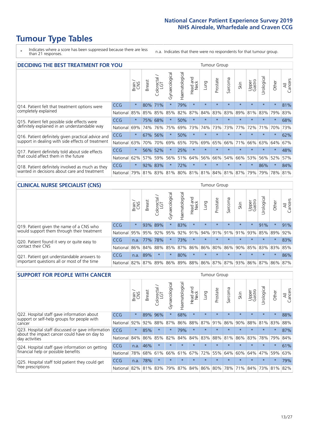# **Tumour Type Tables**

\* Indicates where a score has been suppressed because there are less than 21 responses.

n.a. Indicates that there were no respondents for that tumour group.

| DECIDING THE BEST TREATMENT FOR YOU                |            |         |        |                        |                |                |                        |             | <b>Tumour Group</b> |                                     |         |                 |            |         |                |
|----------------------------------------------------|------------|---------|--------|------------------------|----------------|----------------|------------------------|-------------|---------------------|-------------------------------------|---------|-----------------|------------|---------|----------------|
|                                                    |            | Brain   | Breast | blorectal.<br>LGT<br>Ũ | Gynaecological | Haematological | ad and<br>Neck<br>Head | <b>Fung</b> | Prostate            | Sarcoma                             | Skin    | Upper<br>Gastro | Jrological | Other   | All<br>Cancers |
| Q14. Patient felt that treatment options were      | CCG        | $\star$ | 80%    | 71%                    | $\star$        | 79%            | $\star$                | $\star$     | $\star$             | $\star$                             | $\star$ | $\star$         | $\star$    | $\star$ | 81%            |
| completely explained                               | National   | 85%     | 85%    | 85%                    | 85%            | 82%            | 87%                    | 84%         | 83%                 | 83%                                 | 89%     | 81%             | 83%        | 79%     | 83%            |
| Q15. Patient felt possible side effects were       | CCG        | $\star$ |        | 75% 68%                | $\star$        | 50%            | $\star$                |             | $\star$             |                                     |         | $\star$         | $\star$    | $\star$ | 68%            |
| definitely explained in an understandable way      | National   | 69%     | 74%    | 76%                    | 75%            | 69%            | 73%                    | 74%         | 73%                 | 73%                                 | 77%     | 72%             | 71%        | 70%     | 73%            |
| Q16. Patient definitely given practical advice and | <b>CCG</b> | $\star$ | 67%    | 56%                    | $\star$        | 50%            | $\star$                | $\star$     | $\star$             | $\star$                             | $\star$ | $\star$         | $\star$    | $\star$ | 62%            |
| support in dealing with side effects of treatment  | National   | 63%     | 70%    | 70%                    | 69%            | 65%            | 70%                    | 69%         | 65%                 | 66%                                 | 71%     | 66%             | 63%        | 64%     | 67%            |
| Q17. Patient definitely told about side effects    | CCG        | $\star$ | 56%    | 52%                    | $\star$        | 25%            | $\star$                | $\star$     | $\star$             | $\star$                             | $\star$ | $\star$         | $\star$    | $\star$ | 48%            |
| that could affect them in the future               | National   | 62%     | 57%    | 59%                    | 56%            | 51%            | 64%                    | 56%         | 66%                 | 54%                                 | 66%     | 53%             | 56%        | 52%     | 57%            |
| Q18. Patient definitely involved as much as they   | CCG        | $\star$ | 92%    | 83%                    | $\star$        | 72%            | $\star$                | $\star$     | $\star$             | $\star$                             | $\star$ | $\star$         | 86%        | $\star$ | 84%            |
| wanted in decisions about care and treatment       | National   | 79%     |        |                        |                |                |                        |             |                     | 81% 83% 81% 80% 81% 81% 84% 81% 87% |         | 79%             | 79%        | 78% 81% |                |

#### **CLINICAL NURSE SPECIALIST (CNS)** Tumour Group

|                                             |          | Brain                                   | <b>Breast</b>   | Colorectal<br>LGT | Gynaecologica | ক<br>ت<br>aematologi | Head and<br>Neck | Lung            | Prostate | Sarcoma | Skin    | Upper<br>Gastro | $\sigma$<br>rologica | Other               | All<br>Cancers |
|---------------------------------------------|----------|-----------------------------------------|-----------------|-------------------|---------------|----------------------|------------------|-----------------|----------|---------|---------|-----------------|----------------------|---------------------|----------------|
| Q19. Patient given the name of a CNS who    | CCG      | $\star$                                 |                 | 93% 89%           |               | 83%                  | $\star$          | $\star$         | $\star$  | $\star$ | $\star$ | $\star$         | 91%                  | $\star$             | 91%            |
| would support them through their treatment  | National | 95%                                     | 95%             | 92%               | 95%           | 92%                  | 91%              |                 | 94% 91%  | 91%     | 91%     | 93%             | 85%                  | 89%                 | 92%            |
| Q20. Patient found it very or quite easy to | CCG      | n.a.                                    | 77%             | 78%               |               | 73%                  | $\star$          | $\star$         | $\star$  | $\star$ | $\star$ | $\star$         | $\star$              | $\star$             | 83%            |
| contact their CNS                           | National |                                         | 86% 84% 88% 85% |                   |               |                      |                  | 87% 86% 86% 80% |          |         |         |                 |                      | 86% 90% 85% 83% 83% | 85%            |
| Q21. Patient got understandable answers to  | CCG      | n.a.                                    | 89%             |                   | $\star$       | 80%                  | $\star$          | $\star$         | $\star$  | $\star$ | $\star$ | $\star$         | $\star$              | $\ast$              | 86%            |
| important questions all or most of the time | National | 82% 87% 89% 86% 89% 88% 86% 87% 87% 93% |                 |                   |               |                      |                  |                 |          |         |         | 86% 87%         |                      | 86%                 | 87%            |

| <b>SUPPORT FOR PEOPLE WITH CANCER</b>                                                             |                      |         |               |                        |                |                             |                        |         | <b>Tumour Group</b> |                      |                         |                 |           |         |                |
|---------------------------------------------------------------------------------------------------|----------------------|---------|---------------|------------------------|----------------|-----------------------------|------------------------|---------|---------------------|----------------------|-------------------------|-----------------|-----------|---------|----------------|
|                                                                                                   |                      | Brain   | <b>Breast</b> | olorectal.<br>LGT<br>Ū | Gynaecological | Haematological              | ad and<br>Neck<br>Head | Lung    | Prostate            | arcoma<br>$\sqrt{ }$ | Skin                    | Upper<br>Gastro | Jrologica | Other   | All<br>Cancers |
| Q22. Hospital staff gave information about<br>support or self-help groups for people with         | CCG                  | $\star$ | 89%           | 96%                    | $\star$        | 68%                         | $\star$                | $\star$ | $\star$             | $\star$              | $\star$                 | $\star$         | $\star$   | $\star$ | 88%            |
| cancer                                                                                            | National             | 92%     | 92%           | 88%                    | 87%            | 86%                         | 88%                    | 87%     | 91%                 | 86%                  | 90%                     | 88%             | 81%       | 83%     | 88%            |
| Q23. Hospital staff discussed or gave information<br>about the impact cancer could have on day to | CCG                  | $\star$ | 85%           | $\star$                | $\star$        | 79%                         | $\star$                | $\star$ | $\star$             | $\star$              | $\star$                 | $\star$         | $\star$   | $\ast$  | 87%            |
| day activities                                                                                    | National             | 84%     | 86%           | 85%                    | 82%            | 84%                         | 84%                    | 83%     | 88%                 | 81%                  | 86%                     | 83%             | 78%       | 79%     | 84%            |
| Q24. Hospital staff gave information on getting                                                   | CCG                  | n.a.    | 46%           | $\star$                | $\star$        | $\star$                     | $\star$                | $\star$ | $\star$             | $\star$              | $\star$                 | $\star$         | $\star$   | $\ast$  | 61%            |
| financial help or possible benefits                                                               | National             | 78%     |               | 68% 61%                | 66%            | 61%                         | 67%                    | 72%     | 55%                 | 64%                  | 60%                     | 64%             | 47%       | 59%     | 63%            |
| Q25. Hospital staff told patient they could get                                                   | <b>CCG</b>           | n.a.    | 78%           | $\star$                | $\star$        |                             | $\star$                | $\star$ | $\star$             | $\star$              | $\star$                 | $\star$         | $\star$   | $\star$ | 79%            |
| tree prescriptions                                                                                | National 82% 81% 83% |         |               |                        |                | 79%   87%   84%   86%   80% |                        |         |                     |                      | 78% 71% 84% 73% 81% 82% |                 |           |         |                |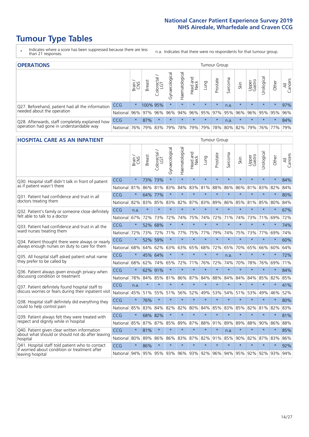# **Tumour Type Tables**

\* Indicates where a score has been suppressed because there are less than 21 responses.

n.a. Indicates that there were no respondents for that tumour group.

| <b>OPERATIONS</b>                                |            |              |               |            |                    |                |                             |         | Tumour Group |         |         |                 |                                  |         |                |
|--------------------------------------------------|------------|--------------|---------------|------------|--------------------|----------------|-----------------------------|---------|--------------|---------|---------|-----------------|----------------------------------|---------|----------------|
|                                                  |            | Brain<br>CNS | <b>Breast</b> | Colorectal | ᠊ᢛ<br>Gynaecologic | Haematological | Head and<br>Neck            | Lung    | Prostate     | Sarcoma | Skin    | Upper<br>Gastro | $\overline{\sigma}$<br>Urologica | Other   | All<br>Cancers |
| Q27. Beforehand, patient had all the information | <b>CCG</b> | $\star$      | 100% 95%      |            | $\star$            | $\star$        | $\star$                     | $\star$ | $\star$      | n.a.    | $\star$ | $\star$         | $\star$                          | $\star$ | 97%            |
| needed about the operation                       | National   | 96%          | 97%           | 96%        | 96%                | 94%            | 96% 95% 97% 95% 96%         |         |              |         |         | 96%             | 95% 95%                          |         | 96%            |
| Q28. Afterwards, staff completely explained how  | CCG        | $\star$      | 87%           | $\star$    | $\star$            | $\star$        | $\star$                     | $\star$ | $\star$      | n.a.    | $\star$ | $\star$         | $\star$                          | $\star$ | 84%            |
| operation had gone in understandable way         | National   | 76%          |               | 79% 83%    | 79%                |                | 78% 79% 79% 78% 80% 82% 79% |         |              |         |         |                 |                                  | 76% 77% | 79%            |

#### **HOSPITAL CARE AS AN INPATIENT** TUMOUR STOUP TUMOUR Group

|                                                                                                   |                 | Brain<br>CNS | <b>Breast</b> | $\frac{\text{Colored}}{\text{LGT}}$ | Gynaecological | Haematological | Head and<br>Neck | Lung    | Prostate | Sarcoma | Skin    | Upper<br>Gastro      | Urological  | Other   | All<br>Cancers |
|---------------------------------------------------------------------------------------------------|-----------------|--------------|---------------|-------------------------------------|----------------|----------------|------------------|---------|----------|---------|---------|----------------------|-------------|---------|----------------|
| Q30. Hospital staff didn't talk in front of patient<br>as if patient wasn't there                 | CCG             | $\star$      | 73%           | 73%                                 | $\star$        | $\star$        | $\star$          | $\star$ | $\star$  | $\star$ | $\star$ | $\star$              | $\star$     | $\star$ | 84%            |
|                                                                                                   | National        | 81%          | 86%           | 81%                                 | 83%            | 84%            | 83%              | 81%     | 88%      | 86%     | 86%     | 81%                  | 83%         | 82%     | 84%            |
| 031. Patient had confidence and trust in all<br>doctors treating them                             | CCG             | $\star$      |               | 64% 77%                             | $\star$        | $\star$        | $\star$          | $\star$ | $\star$  | $\star$ | $\star$ | $\star$              | $\star$     | $\star$ | 80%            |
|                                                                                                   | National        | 82%          | 83%           | 85%                                 | 83%            | 82%            | 87%              | 83%     | 89%      | 86%     | 85%     | 81%                  | 85%         | 80%     | 84%            |
| Q32. Patient's family or someone close definitely                                                 | CCG             | n.a.         | $\star$       | $\star$                             | $\star$        | $\star$        | $\star$          | $\star$ | $\star$  | $\star$ | $\star$ | $\star$              | $\star$     | $\star$ | 67%            |
| felt able to talk to a doctor                                                                     | National        | 67%          | 72%           | 73%                                 | 72%            | 74%            | 75%              | 74%     | 72%      | 71%     | 74%     | 73%                  | 71%         | 69%     | 72%            |
| O33. Patient had confidence and trust in all the<br>ward nurses treating them                     | CCG             | $\star$      | 52%           | 68%                                 | $\star$        | $\star$        | $\star$          | $\star$ | $\star$  | $\star$ | $\star$ | $\star$              | $\star$     | $\star$ | 74%            |
|                                                                                                   | National        | 72%          | 73%           | 72%                                 | 71%            | 77%            | 75%              | 77%     | 79%      | 74%     | 75%     | 73%                  | 77%         | 69%     | 74%            |
| Q34. Patient thought there were always or nearly<br>always enough nurses on duty to care for them | CCG             | $\star$      | 52%           | 59%                                 | $\star$        | $\star$        | $\star$          | $\star$ | $\star$  | $\star$ | $\star$ | $\star$              | $\star$     | $\star$ | 60%            |
|                                                                                                   | National        | 68%          | 64%           | 62%                                 | 63%            | 63%            | 65%              | 68%     | 72%      | 65%     | 70%     | 65%                  | 66%         | 60%     | 64%            |
| Q35. All hospital staff asked patient what name                                                   | CCG             | $\star$      | 45% 64%       |                                     | $\star$        | $\star$        | $\star$          | $\star$ | $\star$  | n.a.    | $\star$ | $\star$              | $\star$     | $\star$ | 72%            |
| they prefer to be called by                                                                       | National        | 68%          | 62%           | 74%                                 | 65%            | 72%            | 71%              | 76%     | 72%      | 74%     | 70%     | 78%                  | 76%         | 69%     | 71%            |
| Q36. Patient always given enough privacy when                                                     | CCG             | $\star$      | 62%           | 91%                                 | $\star$        | $\star$        | $\star$          | $\star$ | $\star$  | $\star$ | $\star$ | $\star$              | $\star$     | $\star$ | 84%            |
| discussing condition or treatment                                                                 | National        | 78%          | 84%           | 85%                                 | 81%            | 86%            | 87%              | 84%     | 88%      | 84%     | 84%     | 84%                  | 85%         | 82%     | 85%            |
| Q37. Patient definitely found hospital staff to                                                   | CCG             | n.a.         | $\star$       | $\star$                             | $\star$        | $\star$        | $\star$          | $\star$ | $\star$  | $\star$ | $\star$ | $\ddot{\phantom{1}}$ | $\star$     | $\star$ | 41%            |
| discuss worries or fears during their inpatient visit                                             | National        | 45%          | 51%           |                                     | 55% 51%        | 56%            | 52%              | 49%     | 53%      | 54%     |         | 51% 53%              | 49%         | 46%     | 52%            |
| Q38. Hospital staff definitely did everything they                                                | CCG             | $\star$      | 76%           | $\star$                             | $\star$        | $\star$        | $\star$          | $\star$ | $\star$  | $\star$ | $\star$ | $\star$              | $\star$     | $\star$ | 80%            |
| could to help control pain                                                                        | <b>National</b> | 85%          | 83%           | 84%                                 | 82%            | 82%            | 80%              | 84%     | 85%      | 83%     | 85%     | 82%                  | 81%         | 82%     | 83%            |
| Q39. Patient always felt they were treated with                                                   | CCG             | $\star$      |               | 68% 82%                             | $\star$        | $\star$        | $\star$          | $\star$ | $\star$  | $\star$ | $\star$ | $\star$              | $\star$     | $\star$ | 81%            |
| respect and dignity while in hospital                                                             | National 85%    |              | 87%           | 87%                                 | 85%            | 89%            | 87%              | 88%     | 91%      | 89%     | 89%     | 88%                  | 90%         | 86%     | 88%            |
| Q40. Patient given clear written information<br>about what should or should not do after leaving  | CCG             | $\star$      | 81%           | $\star$                             | $\star$        | $\star$        | $\star$          | $\star$ | $\star$  | n.a.    | $\star$ | $\star$              | $\star$     | $\star$ | 85%            |
| hospital                                                                                          | National 80%    |              | 89%           | 86%                                 | 86%            |                | 83% 87%          | 82%     | 91%      | 85%     | 90%     |                      | 82% 87% 83% |         | 86%            |
| Q41. Hospital staff told patient who to contact<br>if worried about condition or treatment after  | CCG             | $\star$      | 86%           | $\star$                             | $\star$        | $\star$        | $\star$          | $\star$ | $\star$  | $\star$ | $\star$ | $\star$              | $\star$     | $\star$ | 92%            |
| leaving hospital                                                                                  | National 94%    |              | 95%           |                                     | 95% 93%        |                | 96% 93% 92%      |         |          | 96% 94% |         | 95% 92%              | 92%         | 93%     | 94%            |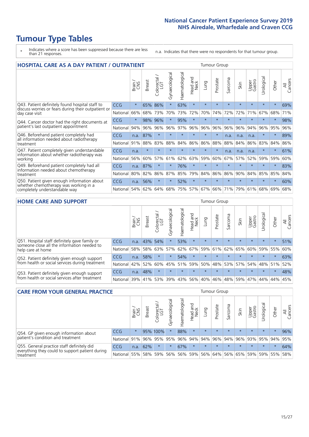# **Tumour Type Tables**

- \* Indicates where a score has been suppressed because there are less than 21 responses.
- n.a. Indicates that there were no respondents for that tumour group.

| <b>HOSPITAL CARE AS A DAY PATIENT / OUTPATIENT</b>                                                                    | <b>Tumour Group</b> |         |               |                         |                |                |                         |         |          |             |         |                 |            |          |                |
|-----------------------------------------------------------------------------------------------------------------------|---------------------|---------|---------------|-------------------------|----------------|----------------|-------------------------|---------|----------|-------------|---------|-----------------|------------|----------|----------------|
|                                                                                                                       |                     | Brain   | <b>Breast</b> | olorectal /<br>LGT<br>Ũ | Gynaecological | Haematological | ead and<br>Neck<br>Head | Lung    | Prostate | arcoma<br>S | Skin    | Upper<br>Gastro | Urological | Other    | All<br>Cancers |
| Q43. Patient definitely found hospital staff to                                                                       | CCG                 | $\star$ | 65%           | 86%                     | $\star$        | 63%            | $\star$                 | $\star$ | $\star$  | $\star$     | $\star$ | $\star$         | $\star$    | $\star$  | 69%            |
| discuss worries or fears during their outpatient or<br>day case visit                                                 | National            | 66%     | 68%           | 73%                     | 70%            | 73%            | 72%                     | 70%     | 74%      | 72%         | 72%     | 71%             | 67%        | 68%      | 71%            |
| Q44. Cancer doctor had the right documents at<br>patient's last outpatient appointment                                | <b>CCG</b>          | $\star$ | 98%           | 96%                     | $\star$        | 95%            | $\star$                 | $\star$ | $\star$  | $\star$     |         |                 | $\star$    | $\ast$   | 98%            |
|                                                                                                                       | National            | 94%     | 96%           | 96%                     | 96%            | 97%            | 96%                     | 96%     | 96%      | 96%         | 96%     | 94%             | 96%        | 95%      | 96%            |
| Q46. Beforehand patient completely had                                                                                | CCG                 | n.a.    | 87%           | $\star$                 |                |                | $\star$                 | $\star$ | $\star$  | n.a.        | n.a.    | n.a.            | $\star$    | $\star$  | 89%            |
| all information needed about radiotherapy<br>treatment                                                                | National            | 91%     | 88%           | 83%                     | 88%            | 84%            | 86%                     | 86%     | 88%      | 88%         | 84%     | 86%             | 83%        | 84%      | 86%            |
| Q47. Patient completely given understandable<br>information about whether radiotherapy was                            | CCG                 | n.a.    | $\star$       | $\star$                 | $\star$        |                | $\star$                 | $\star$ | $\star$  | n.a.        | n.a.    | n.a.            | $\star$    | $^\star$ | 61%            |
| working                                                                                                               | National            | 56%     | 60%           | 57%                     | 61%            | 62%            | 63%                     | 59%     | 60%      | 67%         | 57%     | 52%             | 59%        | 59%      | 60%            |
| Q49. Beforehand patient completely had all                                                                            | CCG                 | n.a.    | 87%           | $\star$                 | $\star$        | 76%            | $\star$                 | $\star$ | $\star$  | $\star$     | $\star$ | $\star$         | $\star$    | $\star$  | 83%            |
| information needed about chemotherapy<br>treatment                                                                    | National            | 80%     | 82%           | 86%                     | 87%            | 85%            | 79%                     | 84%     | 86%      | 86%         | 90%     | 84%             | 85%        | 85%      | 84%            |
| Q50. Patient given enough information about<br>whether chemotherapy was working in a<br>completely understandable way | <b>CCG</b>          | n.a.    | 56%           | $\star$                 | $\star$        | 52%            | $\star$                 | $\star$ | $\star$  | $\star$     |         |                 |            | $\star$  | 60%            |
|                                                                                                                       | National            | 54%     | 62%           | 64%                     | 68%            | 75%            |                         | 57% 67% | 66%      | 71%         | 79%     | 61%             | 68%        | 69%      | 68%            |

#### **HOME CARE AND SUPPORT** Tumour Group

|                                                                                                                   |            | Brain | <b>Breast</b> | olorectal.<br>LGT<br>Ũ | σ<br>Ü<br>Gynaecologi | Haematological | ad and<br>Neck<br>Head | <b>Lung</b> | Prostate | Sarcoma | Skin    | Upper<br>Gastro | rological   | Other   | All<br>Cancers |
|-------------------------------------------------------------------------------------------------------------------|------------|-------|---------------|------------------------|-----------------------|----------------|------------------------|-------------|----------|---------|---------|-----------------|-------------|---------|----------------|
| Q51. Hospital staff definitely gave family or<br>someone close all the information needed to<br>help care at home | <b>CCG</b> | n.a.  | 43% 54%       |                        | $\star$               | 53%            | $\star$                | $\star$     | $\star$  | $\star$ | $\star$ | $\star$         | $\star$     | $\star$ | 51%            |
|                                                                                                                   | National   | 58%   | 58%           | 63%                    | 57%                   | 62%            | 67%                    |             | 59% 61%  |         | 62% 65% | 60%             | 59% 55%     |         | 60%            |
| Q52. Patient definitely given enough support<br>from health or social services during treatment                   | <b>CCG</b> | n.a.  | 58%           | $\star$                | $\star$               | 54%            | $\star$                | $\star$     | $\star$  |         |         | $\star$         | $\star$     | $\star$ | 63%            |
|                                                                                                                   | National   | 42%   | 52%           | 60%                    |                       | 45% 51%        | 59%                    | 50%         | 48%      |         | 53% 57% |                 | 54% 48% 51% |         | 52%            |
| Q53. Patient definitely given enough support<br>from health or social services after treatment                    | <b>CCG</b> | n.a.  | 48%           |                        | $\star$               |                | $\star$                | $\star$     | $\star$  |         | $\star$ | $\star$         | $\star$     | $\star$ | 48%            |
|                                                                                                                   | National   | 39%   | 41% 53%       |                        | 39%                   | 43%            | 56%                    | 40%         | 46%      | 48% 59% |         | 47%             | 44%         | 44%     | 45%            |

| <b>CARE FROM YOUR GENERAL PRACTICE</b>                                                                     |              |         |               |                   |                |                | Tumour Group     |         |          |         |         |                                     |           |         |                |  |
|------------------------------------------------------------------------------------------------------------|--------------|---------|---------------|-------------------|----------------|----------------|------------------|---------|----------|---------|---------|-------------------------------------|-----------|---------|----------------|--|
|                                                                                                            |              | Brain   | <b>Breast</b> | Colorectal<br>LGT | Gynaecological | Haematological | Head and<br>Neck | Lung    | Prostate | Sarcoma | Skin    | Upper<br>Gastro                     | Urologica | Other   | All<br>Cancers |  |
| Q54. GP given enough information about<br>patient's condition and treatment                                | <b>CCG</b>   | $\star$ |               | 95% 100%          | $\star$        | 88%            | $\star$          | $\star$ | $\star$  | $\star$ | $\star$ | $\star$                             | $\star$   | $\star$ | 96%            |  |
|                                                                                                            | National 91% |         |               | 96% 95%           | 95%            |                |                  |         |          |         |         | 96% 94% 94% 96% 94% 96% 93% 95% 94% |           |         | 95%            |  |
| Q55. General practice staff definitely did<br>everything they could to support patient during<br>treatment | <b>CCG</b>   | n.a.    | 62%           | $\star$           | $\star$        | 67%            | $\star$          | $\star$ | $\star$  | $\star$ | $\star$ | $\star$                             | $\star$   | $\star$ | 64%            |  |
|                                                                                                            | National 55% |         | 58%           | 59%               | 56%            |                | 56% 59%          |         |          |         |         | 56% 64% 56% 65% 59% 59% 55%         |           |         | 58%            |  |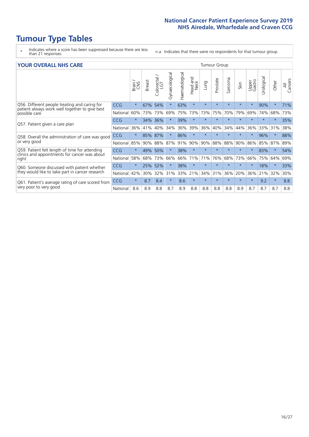# **Tumour Type Tables**

- \* Indicates where a score has been suppressed because there are less than 21 responses.
- n.a. Indicates that there were no respondents for that tumour group.

#### **YOUR OVERALL NHS CARE** THE TWO CONTROLLER THE THE THROUP CHANGE THE TUMOUR GROUP

|            | Brain<br>CNS | <b>Breast</b> | Colorectal<br>LGT | Gynaecological | Haematological | aad and<br>Neck<br>Head | Lung    | Prostate | Sarcoma | Skin    | Upper<br>Gastro | लु<br>Urologia | Other   | All<br>Cancers |
|------------|--------------|---------------|-------------------|----------------|----------------|-------------------------|---------|----------|---------|---------|-----------------|----------------|---------|----------------|
| <b>CCG</b> | $\star$      | 67%           | 54%               | $\star$        | 63%            | $\star$                 | $\star$ | $\star$  | $\star$ | $\star$ | $\star$         | 90%            | $\star$ | 71%            |
| National   | 60%          | 73%           | 73%               | 69%            | 75%            | 73%                     | 73%     | 75%      | 70%     | 79%     | 69%             | 74%            | 68%     | 73%            |
| <b>CCG</b> | $\star$      | 34%           | 36%               |                | 39%            | $\star$                 | $\star$ | $\star$  | $\star$ | $\star$ | $\star$         | $\star$        | $\star$ | 35%            |
| National   | 36%          | 41%           | 40%               | 34%            | 36%            | 39%                     | 36%     | 40%      | 34%     | 44%     | 36%             | 33%            | 31%     | 38%            |
| <b>CCG</b> | $\star$      | 85%           | 87%               |                | 86%            | $\star$                 | $\star$ | $\star$  | $\star$ | $\star$ |                 | 96%            | $\star$ | 88%            |
| National   | 85%          | 90%           | 88%               | 87%            | 91%            | 90%                     | 90%     | 88%      | 88%     | 90%     | 86%             |                |         | 89%            |
| <b>CCG</b> | $\star$      | 49%           | 50%               |                | 38%            | $\star$                 | $\star$ | $\star$  | $\star$ | $\star$ | $\star$         | 83%            | $\ast$  | 54%            |
| National   | 58%          | 68%           | 73%               | 66%            | 66%            | 71%                     | 71%     | 76%      | 68%     | 73%     | 66%             | 75%            | 64%     | 69%            |
| <b>CCG</b> | $\star$      | 25%           | 52%               |                | 38%            | $\star$                 | $\star$ | $\star$  | $\star$ | $\star$ |                 | 18%            | $\star$ | 33%            |
| National   | 42%          | 30%           | 32%               | 31%            |                |                         | 34%     | 31%      | 36%     | 20%     | 36%             | 21%            | 32%     | 30%            |
| <b>CCG</b> | $\star$      | 8.7           | 8.4               | $\star$        | 8.6            | $\star$                 | $\star$ | $\star$  | $\star$ | $\star$ | $\star$         | 9.2            | $\ast$  | 8.8            |
| National   | 8.6          | 8.9           | 8.8               | 8.7            | 8.9            | 8.8                     | 8.8     | 8.8      | 8.8     | 8.9     | 8.7             | 8.7            | 8.7     | 8.8            |
|            |              |               |                   |                |                |                         | 33% 21% |          |         |         |                 |                | 85%     | 87%            |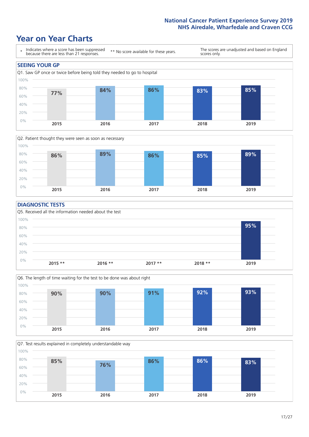### **Year on Year Charts**





#### **DIAGNOSTIC TESTS**





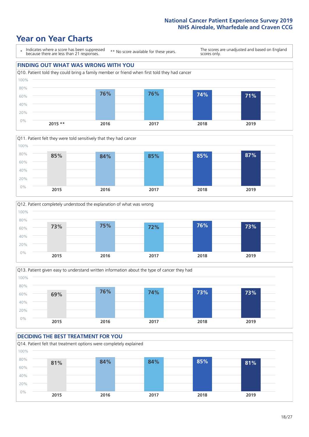







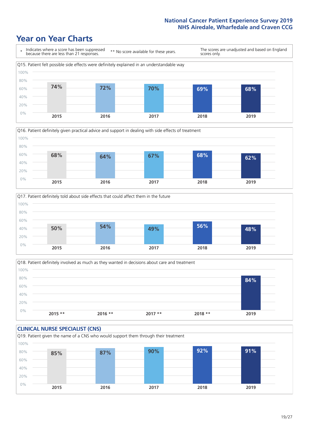





Q18. Patient definitely involved as much as they wanted in decisions about care and treatment  $0%$ 20% 40% 60% 80% 100% **2015 \*\* 2016 \*\* 2017 \*\* 2018 \*\* 2019 84%**

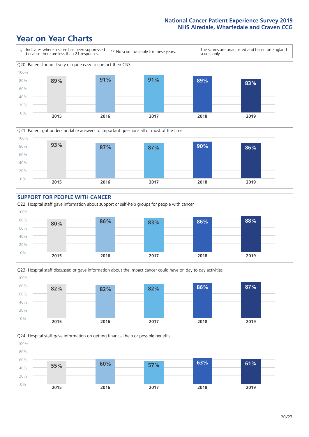### **Year on Year Charts**









Q24. Hospital staff gave information on getting financial help or possible benefits 0% 20% 40% 60% 80% 100% **2015 2016 2017 2018 2019 55% 60% 57% 63% 61%**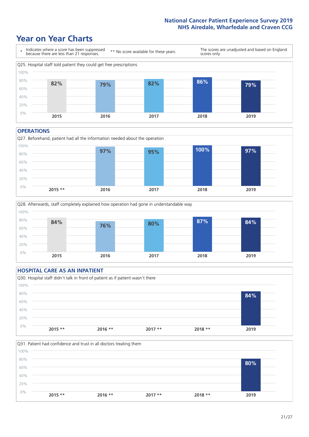### **Year on Year Charts**



#### **OPERATIONS**





#### **HOSPITAL CARE AS AN INPATIENT** Q30. Hospital staff didn't talk in front of patient as if patient wasn't there 0% 20% 40% 60% 80% 100% **2015 \*\* 2016 \*\* 2017 \*\* 2018 \*\* 2019 84%**

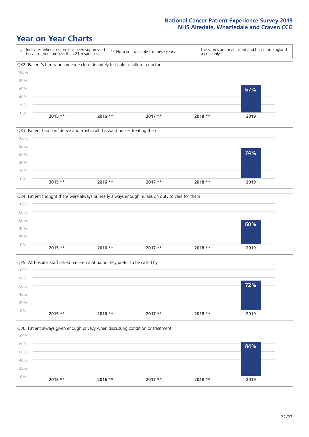







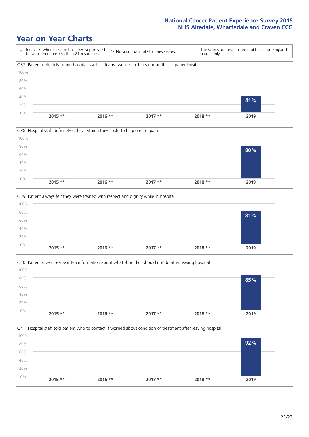







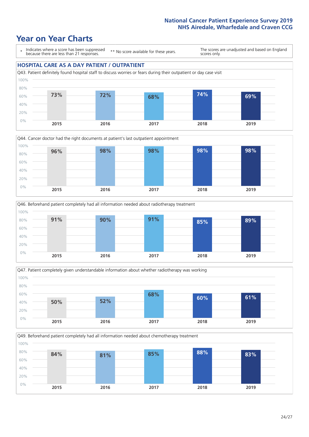







Q49. Beforehand patient completely had all information needed about chemotherapy treatment

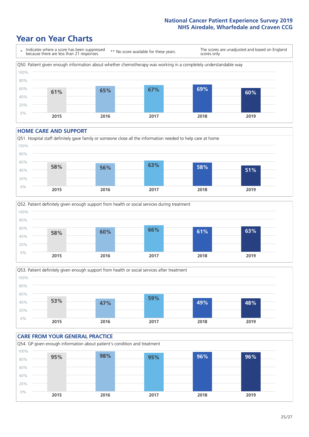### **Year on Year Charts**



#### **HOME CARE AND SUPPORT**







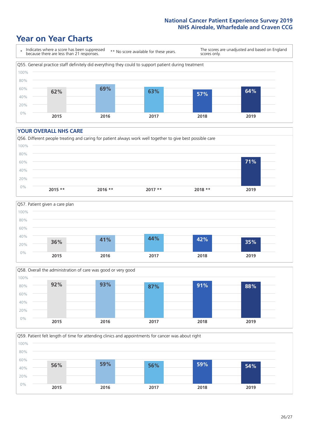### **Year on Year Charts**



#### **YOUR OVERALL NHS CARE**







Q59. Patient felt length of time for attending clinics and appointments for cancer was about right